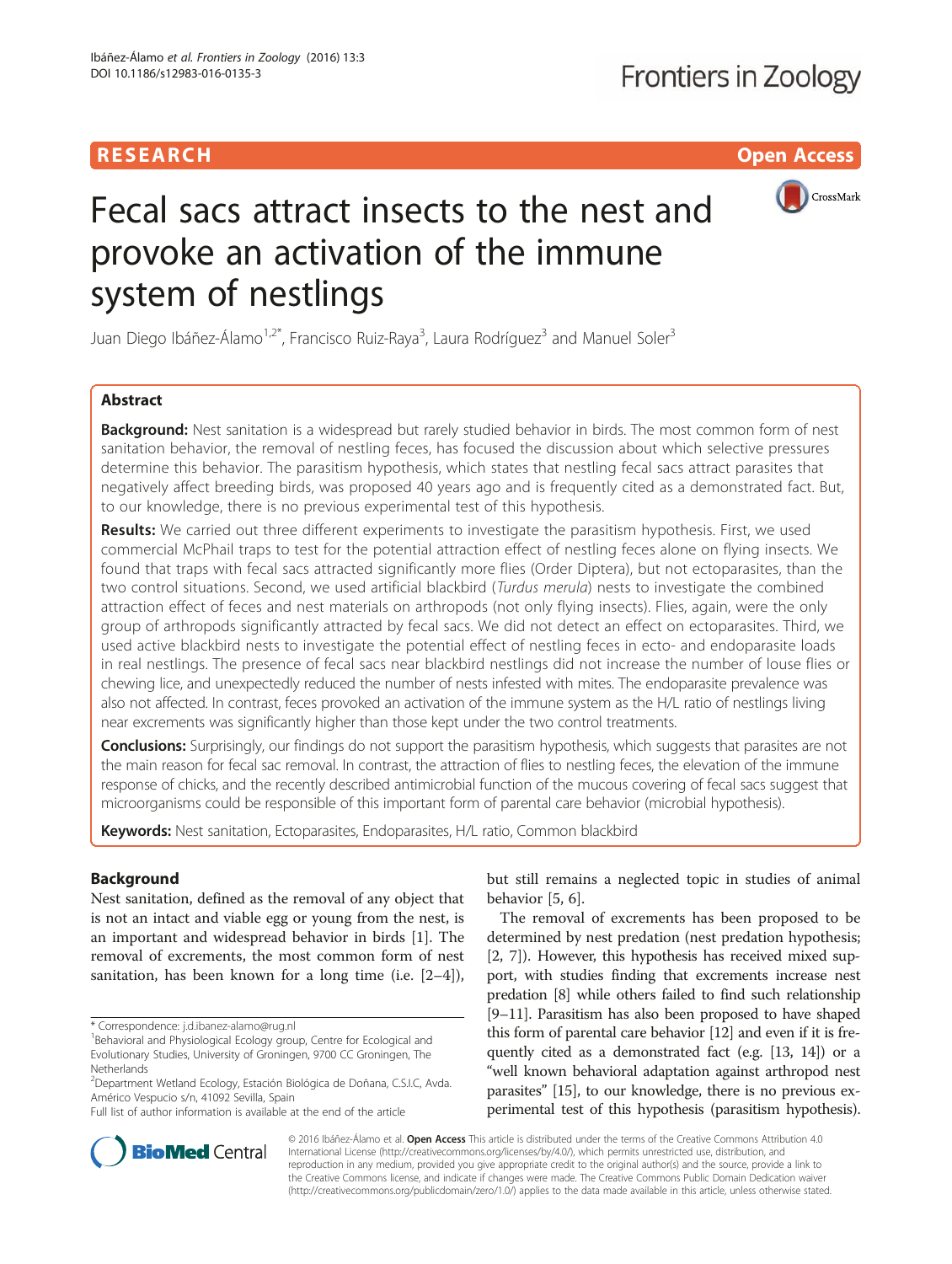# RESEARCH **RESEARCH CHOOSE ACCESS**



# Fecal sacs attract insects to the nest and provoke an activation of the immune system of nestlings

Juan Diego Ibáñez-Álamo<sup>1,2\*</sup>, Francisco Ruiz-Raya<sup>3</sup>, Laura Rodríguez<sup>3</sup> and Manuel Soler<sup>3</sup>

# Abstract

Background: Nest sanitation is a widespread but rarely studied behavior in birds. The most common form of nest sanitation behavior, the removal of nestling feces, has focused the discussion about which selective pressures determine this behavior. The parasitism hypothesis, which states that nestling fecal sacs attract parasites that negatively affect breeding birds, was proposed 40 years ago and is frequently cited as a demonstrated fact. But, to our knowledge, there is no previous experimental test of this hypothesis.

Results: We carried out three different experiments to investigate the parasitism hypothesis. First, we used commercial McPhail traps to test for the potential attraction effect of nestling feces alone on flying insects. We found that traps with fecal sacs attracted significantly more flies (Order Diptera), but not ectoparasites, than the two control situations. Second, we used artificial blackbird (Turdus merula) nests to investigate the combined attraction effect of feces and nest materials on arthropods (not only flying insects). Flies, again, were the only group of arthropods significantly attracted by fecal sacs. We did not detect an effect on ectoparasites. Third, we used active blackbird nests to investigate the potential effect of nestling feces in ecto- and endoparasite loads in real nestlings. The presence of fecal sacs near blackbird nestlings did not increase the number of louse flies or chewing lice, and unexpectedly reduced the number of nests infested with mites. The endoparasite prevalence was also not affected. In contrast, feces provoked an activation of the immune system as the H/L ratio of nestlings living near excrements was significantly higher than those kept under the two control treatments.

**Conclusions:** Surprisingly, our findings do not support the parasitism hypothesis, which suggests that parasites are not the main reason for fecal sac removal. In contrast, the attraction of flies to nestling feces, the elevation of the immune response of chicks, and the recently described antimicrobial function of the mucous covering of fecal sacs suggest that microorganisms could be responsible of this important form of parental care behavior (microbial hypothesis).

Keywords: Nest sanitation, Ectoparasites, Endoparasites, H/L ratio, Common blackbird

# Background

Nest sanitation, defined as the removal of any object that is not an intact and viable egg or young from the nest, is an important and widespread behavior in birds [\[1](#page-7-0)]. The removal of excrements, the most common form of nest sanitation, has been known for a long time (i.e. [\[2](#page-7-0)–[4](#page-7-0)]),

Full list of author information is available at the end of the article

but still remains a neglected topic in studies of animal behavior [[5, 6\]](#page-7-0).

The removal of excrements has been proposed to be determined by nest predation (nest predation hypothesis; [[2, 7\]](#page-7-0)). However, this hypothesis has received mixed support, with studies finding that excrements increase nest predation [\[8](#page-7-0)] while others failed to find such relationship [[9](#page-7-0)–[11\]](#page-7-0). Parasitism has also been proposed to have shaped this form of parental care behavior [[12](#page-7-0)] and even if it is frequently cited as a demonstrated fact (e.g. [[13](#page-7-0), [14](#page-7-0)]) or a "well known behavioral adaptation against arthropod nest parasites" [[15](#page-7-0)], to our knowledge, there is no previous experimental test of this hypothesis (parasitism hypothesis).



© 2016 Ibáñez-Álamo et al. Open Access This article is distributed under the terms of the Creative Commons Attribution 4.0 International License [\(http://creativecommons.org/licenses/by/4.0/](http://creativecommons.org/licenses/by/4.0/)), which permits unrestricted use, distribution, and reproduction in any medium, provided you give appropriate credit to the original author(s) and the source, provide a link to the Creative Commons license, and indicate if changes were made. The Creative Commons Public Domain Dedication waiver [\(http://creativecommons.org/publicdomain/zero/1.0/](http://creativecommons.org/publicdomain/zero/1.0/)) applies to the data made available in this article, unless otherwise stated.

<sup>\*</sup> Correspondence: [j.d.ibanez-alamo@rug.nl](mailto:j.d.ibanez-alamo@rug.nl) <sup>1</sup>

<sup>&</sup>lt;sup>1</sup>Behavioral and Physiological Ecology group, Centre for Ecological and Evolutionary Studies, University of Groningen, 9700 CC Groningen, The Netherlands

<sup>&</sup>lt;sup>2</sup>Department Wetland Ecology, Estación Biológica de Doñana, C.S.I.C, Avda. Américo Vespucio s/n, 41092 Sevilla, Spain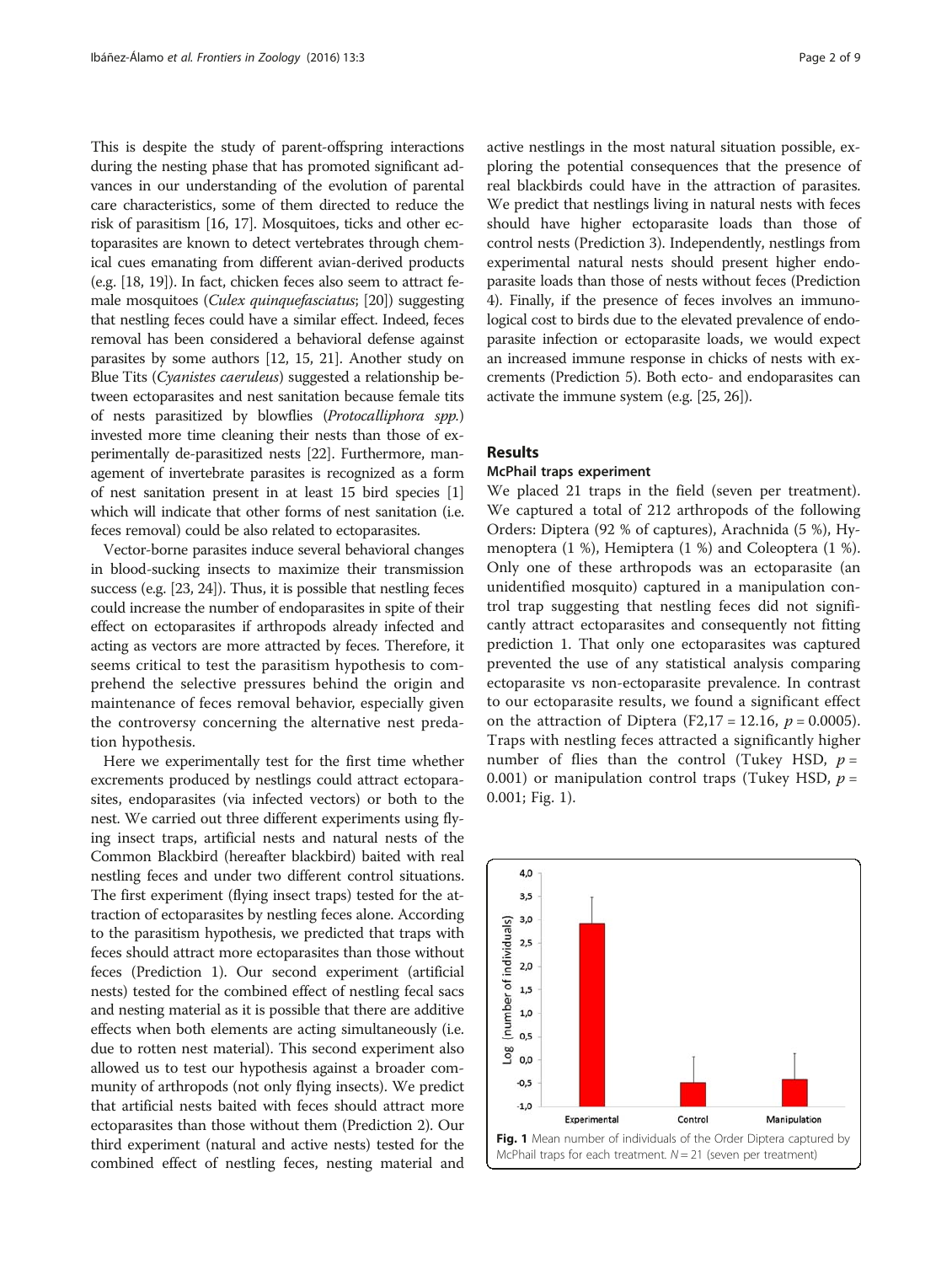This is despite the study of parent-offspring interactions during the nesting phase that has promoted significant advances in our understanding of the evolution of parental care characteristics, some of them directed to reduce the risk of parasitism [[16](#page-7-0), [17\]](#page-7-0). Mosquitoes, ticks and other ectoparasites are known to detect vertebrates through chemical cues emanating from different avian-derived products (e.g. [\[18](#page-7-0), [19](#page-7-0)]). In fact, chicken feces also seem to attract female mosquitoes (Culex quinquefasciatus; [[20](#page-7-0)]) suggesting that nestling feces could have a similar effect. Indeed, feces removal has been considered a behavioral defense against parasites by some authors [\[12, 15, 21](#page-7-0)]. Another study on Blue Tits (*Cyanistes caeruleus*) suggested a relationship between ectoparasites and nest sanitation because female tits of nests parasitized by blowflies (Protocalliphora spp.) invested more time cleaning their nests than those of experimentally de-parasitized nests [\[22](#page-7-0)]. Furthermore, management of invertebrate parasites is recognized as a form of nest sanitation present in at least 15 bird species [[1](#page-7-0)] which will indicate that other forms of nest sanitation (i.e. feces removal) could be also related to ectoparasites.

Vector-borne parasites induce several behavioral changes in blood-sucking insects to maximize their transmission success (e.g. [[23](#page-7-0), [24](#page-7-0)]). Thus, it is possible that nestling feces could increase the number of endoparasites in spite of their effect on ectoparasites if arthropods already infected and acting as vectors are more attracted by feces. Therefore, it seems critical to test the parasitism hypothesis to comprehend the selective pressures behind the origin and maintenance of feces removal behavior, especially given the controversy concerning the alternative nest predation hypothesis.

Here we experimentally test for the first time whether excrements produced by nestlings could attract ectoparasites, endoparasites (via infected vectors) or both to the nest. We carried out three different experiments using flying insect traps, artificial nests and natural nests of the Common Blackbird (hereafter blackbird) baited with real nestling feces and under two different control situations. The first experiment (flying insect traps) tested for the attraction of ectoparasites by nestling feces alone. According to the parasitism hypothesis, we predicted that traps with feces should attract more ectoparasites than those without feces (Prediction 1). Our second experiment (artificial nests) tested for the combined effect of nestling fecal sacs and nesting material as it is possible that there are additive effects when both elements are acting simultaneously (i.e. due to rotten nest material). This second experiment also allowed us to test our hypothesis against a broader community of arthropods (not only flying insects). We predict that artificial nests baited with feces should attract more ectoparasites than those without them (Prediction 2). Our third experiment (natural and active nests) tested for the combined effect of nestling feces, nesting material and active nestlings in the most natural situation possible, exploring the potential consequences that the presence of real blackbirds could have in the attraction of parasites. We predict that nestlings living in natural nests with feces should have higher ectoparasite loads than those of control nests (Prediction 3). Independently, nestlings from experimental natural nests should present higher endoparasite loads than those of nests without feces (Prediction 4). Finally, if the presence of feces involves an immunological cost to birds due to the elevated prevalence of endoparasite infection or ectoparasite loads, we would expect an increased immune response in chicks of nests with excrements (Prediction 5). Both ecto- and endoparasites can activate the immune system (e.g. [\[25](#page-7-0), [26\]](#page-7-0)).

# Results

## McPhail traps experiment

We placed 21 traps in the field (seven per treatment). We captured a total of 212 arthropods of the following Orders: Diptera (92 % of captures), Arachnida (5 %), Hymenoptera (1 %), Hemiptera (1 %) and Coleoptera (1 %). Only one of these arthropods was an ectoparasite (an unidentified mosquito) captured in a manipulation control trap suggesting that nestling feces did not significantly attract ectoparasites and consequently not fitting prediction 1. That only one ectoparasites was captured prevented the use of any statistical analysis comparing ectoparasite vs non-ectoparasite prevalence. In contrast to our ectoparasite results, we found a significant effect on the attraction of Diptera (F2,17 = 12.16,  $p = 0.0005$ ). Traps with nestling feces attracted a significantly higher number of flies than the control (Tukey HSD,  $p =$ 0.001) or manipulation control traps (Tukey HSD,  $p =$ 0.001; Fig. 1).

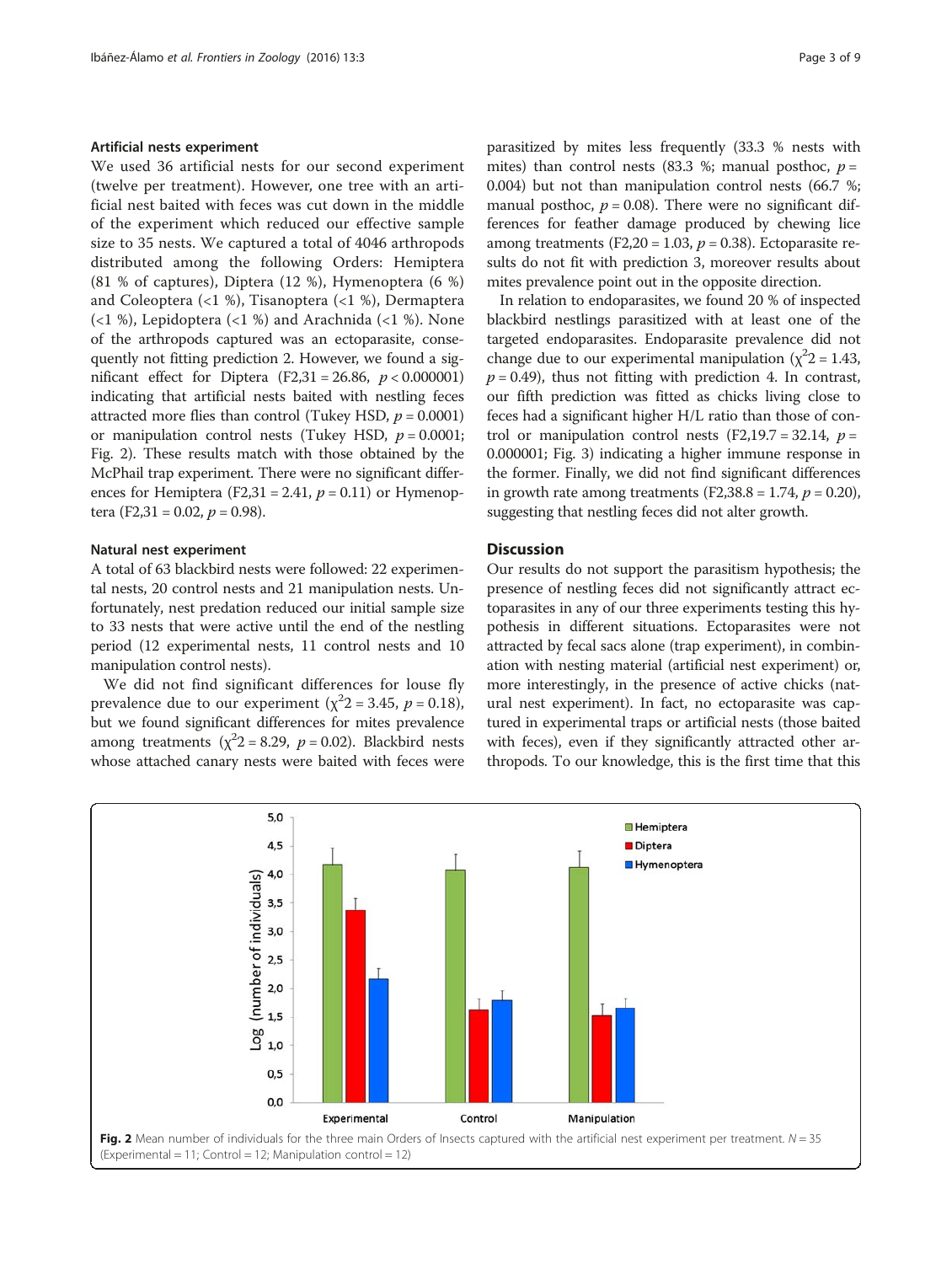## Artificial nests experiment

We used 36 artificial nests for our second experiment (twelve per treatment). However, one tree with an artificial nest baited with feces was cut down in the middle of the experiment which reduced our effective sample size to 35 nests. We captured a total of 4046 arthropods distributed among the following Orders: Hemiptera (81 % of captures), Diptera (12 %), Hymenoptera (6 %) and Coleoptera (<1 %), Tisanoptera (<1 %), Dermaptera  $(1 \%)$ , Lepidoptera  $(21 \%)$  and Arachnida  $(21 \%)$ . None of the arthropods captured was an ectoparasite, consequently not fitting prediction 2. However, we found a significant effect for Diptera  $(F2,31 = 26.86, p < 0.000001)$ indicating that artificial nests baited with nestling feces attracted more flies than control (Tukey HSD,  $p = 0.0001$ ) or manipulation control nests (Tukey HSD,  $p = 0.0001$ ; Fig. 2). These results match with those obtained by the McPhail trap experiment. There were no significant differences for Hemiptera (F2,31 = 2.41,  $p = 0.11$ ) or Hymenoptera (F2,31 = 0.02,  $p = 0.98$ ).

### Natural nest experiment

A total of 63 blackbird nests were followed: 22 experimental nests, 20 control nests and 21 manipulation nests. Unfortunately, nest predation reduced our initial sample size to 33 nests that were active until the end of the nestling period (12 experimental nests, 11 control nests and 10 manipulation control nests).

We did not find significant differences for louse fly prevalence due to our experiment ( $\chi^2$ 2 = 3.45, p = 0.18), but we found significant differences for mites prevalence among treatments ( $\chi^2$ 2 = 8.29,  $p$  = 0.02). Blackbird nests whose attached canary nests were baited with feces were parasitized by mites less frequently (33.3 % nests with mites) than control nests (83.3 %; manual posthoc,  $p =$ 0.004) but not than manipulation control nests (66.7 %; manual posthoc,  $p = 0.08$ ). There were no significant differences for feather damage produced by chewing lice among treatments (F2,20 = 1.03,  $p = 0.38$ ). Ectoparasite results do not fit with prediction 3, moreover results about mites prevalence point out in the opposite direction.

In relation to endoparasites, we found 20 % of inspected blackbird nestlings parasitized with at least one of the targeted endoparasites. Endoparasite prevalence did not change due to our experimental manipulation ( $\chi^2$ 2 = 1.43,  $p = 0.49$ ), thus not fitting with prediction 4. In contrast, our fifth prediction was fitted as chicks living close to feces had a significant higher H/L ratio than those of control or manipulation control nests (F2,19.7 = 32.14,  $p =$ 0.000001; Fig. [3\)](#page-3-0) indicating a higher immune response in the former. Finally, we did not find significant differences in growth rate among treatments  $(F2,38.8 = 1.74, p = 0.20)$ , suggesting that nestling feces did not alter growth.

## **Discussion**

Our results do not support the parasitism hypothesis; the presence of nestling feces did not significantly attract ectoparasites in any of our three experiments testing this hypothesis in different situations. Ectoparasites were not attracted by fecal sacs alone (trap experiment), in combination with nesting material (artificial nest experiment) or, more interestingly, in the presence of active chicks (natural nest experiment). In fact, no ectoparasite was captured in experimental traps or artificial nests (those baited with feces), even if they significantly attracted other arthropods. To our knowledge, this is the first time that this

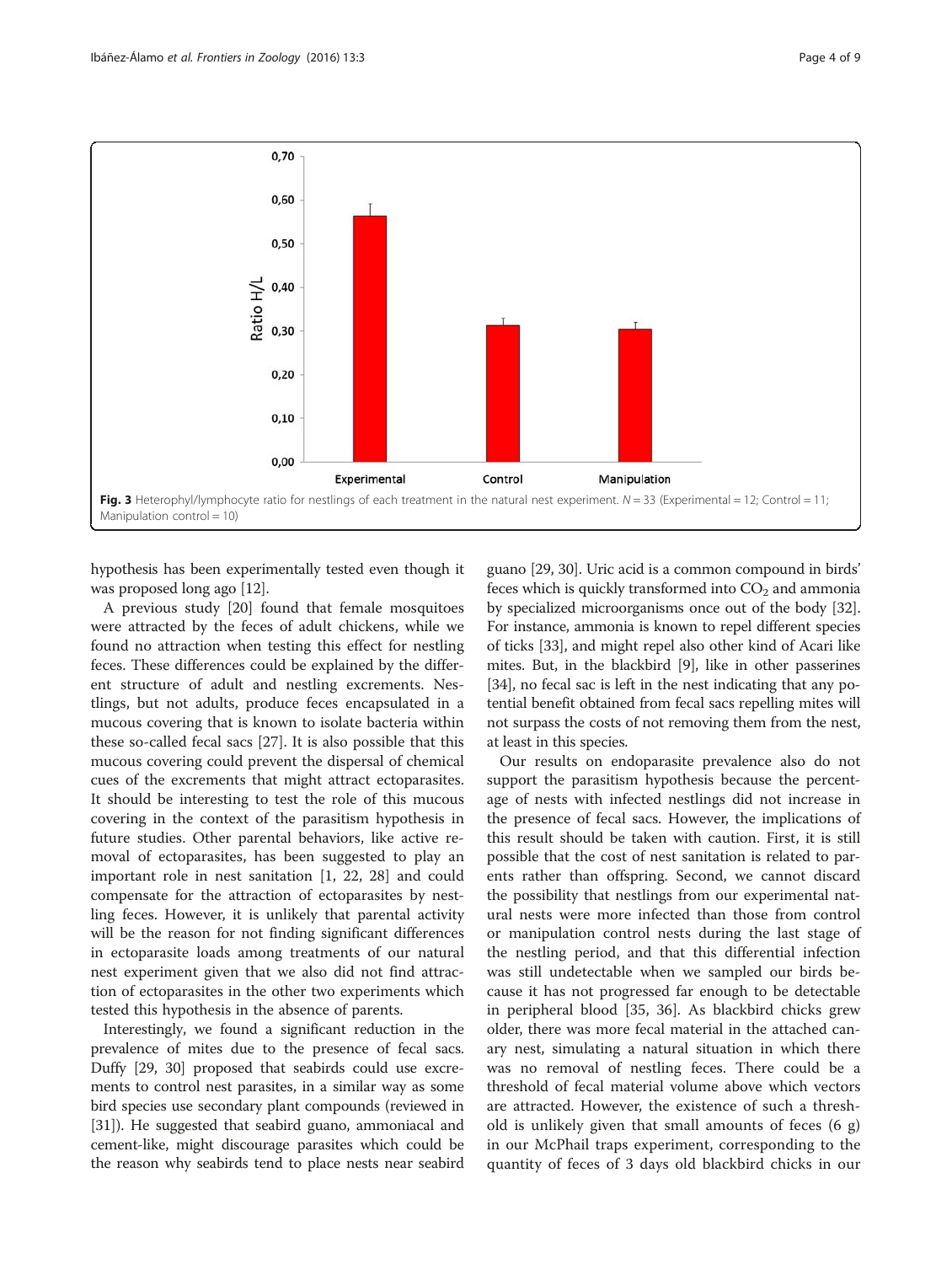<span id="page-3-0"></span>

hypothesis has been experimentally tested even though it was proposed long ago [[12](#page-7-0)].

A previous study [\[20](#page-7-0)] found that female mosquitoes were attracted by the feces of adult chickens, while we found no attraction when testing this effect for nestling feces. These differences could be explained by the different structure of adult and nestling excrements. Nestlings, but not adults, produce feces encapsulated in a mucous covering that is known to isolate bacteria within these so-called fecal sacs [[27](#page-7-0)]. It is also possible that this mucous covering could prevent the dispersal of chemical cues of the excrements that might attract ectoparasites. It should be interesting to test the role of this mucous covering in the context of the parasitism hypothesis in future studies. Other parental behaviors, like active removal of ectoparasites, has been suggested to play an important role in nest sanitation [\[1](#page-7-0), [22, 28\]](#page-7-0) and could compensate for the attraction of ectoparasites by nestling feces. However, it is unlikely that parental activity will be the reason for not finding significant differences in ectoparasite loads among treatments of our natural nest experiment given that we also did not find attraction of ectoparasites in the other two experiments which tested this hypothesis in the absence of parents.

Interestingly, we found a significant reduction in the prevalence of mites due to the presence of fecal sacs. Duffy [[29](#page-7-0), [30](#page-7-0)] proposed that seabirds could use excrements to control nest parasites, in a similar way as some bird species use secondary plant compounds (reviewed in [[31](#page-7-0)]). He suggested that seabird guano, ammoniacal and cement-like, might discourage parasites which could be the reason why seabirds tend to place nests near seabird

guano [\[29, 30](#page-7-0)]. Uric acid is a common compound in birds' feces which is quickly transformed into  $CO<sub>2</sub>$  and ammonia by specialized microorganisms once out of the body [[32](#page-7-0)]. For instance, ammonia is known to repel different species of ticks [\[33\]](#page-7-0), and might repel also other kind of Acari like mites. But, in the blackbird [\[9](#page-7-0)], like in other passerines [[34](#page-7-0)], no fecal sac is left in the nest indicating that any potential benefit obtained from fecal sacs repelling mites will not surpass the costs of not removing them from the nest, at least in this species.

Our results on endoparasite prevalence also do not support the parasitism hypothesis because the percentage of nests with infected nestlings did not increase in the presence of fecal sacs. However, the implications of this result should be taken with caution. First, it is still possible that the cost of nest sanitation is related to parents rather than offspring. Second, we cannot discard the possibility that nestlings from our experimental natural nests were more infected than those from control or manipulation control nests during the last stage of the nestling period, and that this differential infection was still undetectable when we sampled our birds because it has not progressed far enough to be detectable in peripheral blood [\[35](#page-7-0), [36\]](#page-7-0). As blackbird chicks grew older, there was more fecal material in the attached canary nest, simulating a natural situation in which there was no removal of nestling feces. There could be a threshold of fecal material volume above which vectors are attracted. However, the existence of such a threshold is unlikely given that small amounts of feces (6 g) in our McPhail traps experiment, corresponding to the quantity of feces of 3 days old blackbird chicks in our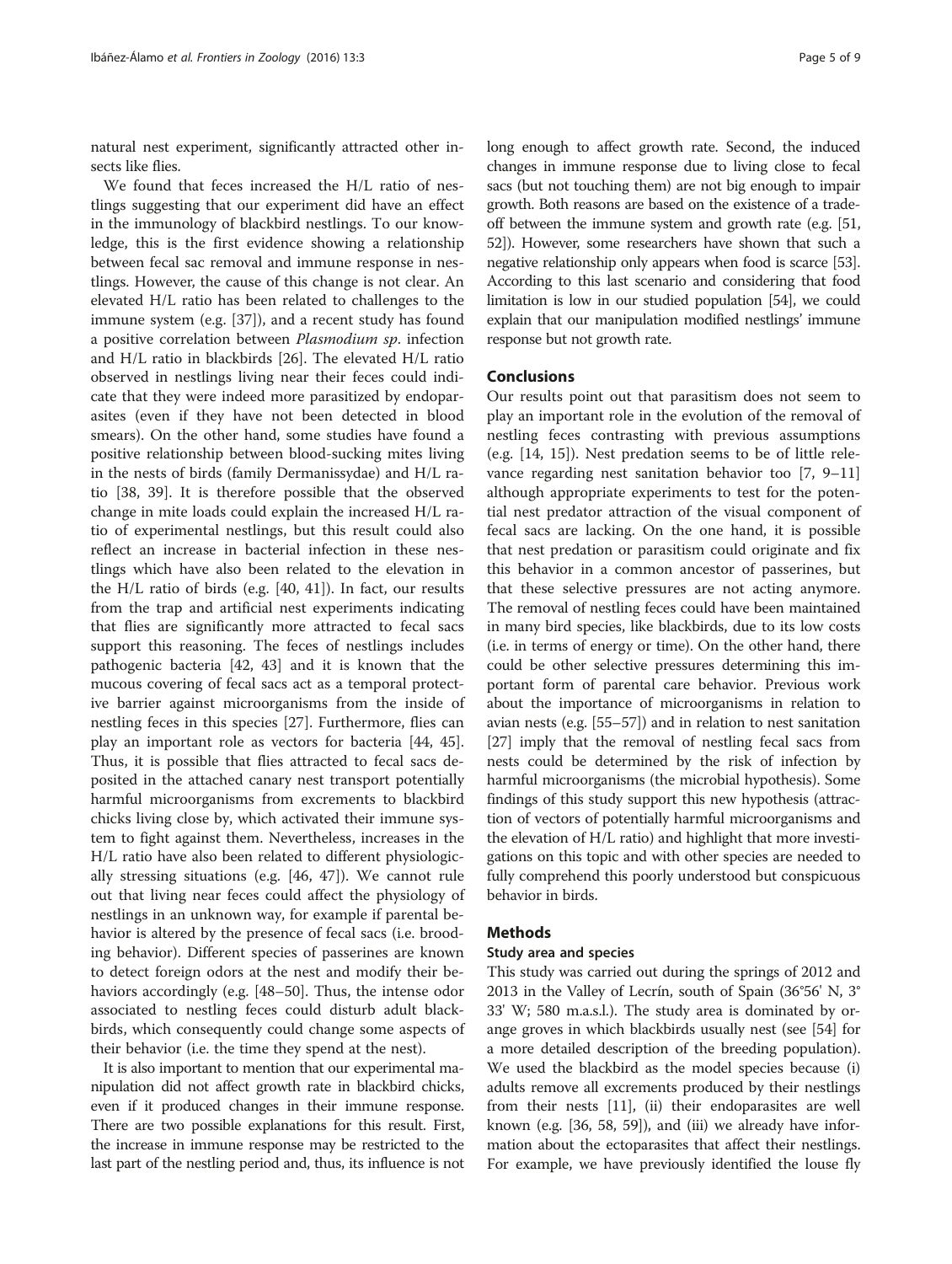natural nest experiment, significantly attracted other insects like flies.

We found that feces increased the H/L ratio of nestlings suggesting that our experiment did have an effect in the immunology of blackbird nestlings. To our knowledge, this is the first evidence showing a relationship between fecal sac removal and immune response in nestlings. However, the cause of this change is not clear. An elevated H/L ratio has been related to challenges to the immune system (e.g. [\[37\]](#page-7-0)), and a recent study has found a positive correlation between Plasmodium sp. infection and H/L ratio in blackbirds [\[26\]](#page-7-0). The elevated H/L ratio observed in nestlings living near their feces could indicate that they were indeed more parasitized by endoparasites (even if they have not been detected in blood smears). On the other hand, some studies have found a positive relationship between blood-sucking mites living in the nests of birds (family Dermanissydae) and H/L ratio [[38](#page-7-0), [39\]](#page-7-0). It is therefore possible that the observed change in mite loads could explain the increased H/L ratio of experimental nestlings, but this result could also reflect an increase in bacterial infection in these nestlings which have also been related to the elevation in the H/L ratio of birds (e.g. [\[40](#page-7-0), [41\]](#page-7-0)). In fact, our results from the trap and artificial nest experiments indicating that flies are significantly more attracted to fecal sacs support this reasoning. The feces of nestlings includes pathogenic bacteria [[42,](#page-7-0) [43](#page--1-0)] and it is known that the mucous covering of fecal sacs act as a temporal protective barrier against microorganisms from the inside of nestling feces in this species [[27](#page-7-0)]. Furthermore, flies can play an important role as vectors for bacteria [\[44, 45](#page--1-0)]. Thus, it is possible that flies attracted to fecal sacs deposited in the attached canary nest transport potentially harmful microorganisms from excrements to blackbird chicks living close by, which activated their immune system to fight against them. Nevertheless, increases in the H/L ratio have also been related to different physiologically stressing situations (e.g. [\[46](#page--1-0), [47\]](#page--1-0)). We cannot rule out that living near feces could affect the physiology of nestlings in an unknown way, for example if parental behavior is altered by the presence of fecal sacs (i.e. brooding behavior). Different species of passerines are known to detect foreign odors at the nest and modify their behaviors accordingly (e.g. [\[48](#page--1-0)–[50\]](#page--1-0). Thus, the intense odor associated to nestling feces could disturb adult blackbirds, which consequently could change some aspects of their behavior (i.e. the time they spend at the nest).

It is also important to mention that our experimental manipulation did not affect growth rate in blackbird chicks, even if it produced changes in their immune response. There are two possible explanations for this result. First, the increase in immune response may be restricted to the last part of the nestling period and, thus, its influence is not long enough to affect growth rate. Second, the induced changes in immune response due to living close to fecal sacs (but not touching them) are not big enough to impair growth. Both reasons are based on the existence of a tradeoff between the immune system and growth rate (e.g. [\[51](#page--1-0), [52](#page--1-0)]). However, some researchers have shown that such a negative relationship only appears when food is scarce [\[53](#page--1-0)]. According to this last scenario and considering that food limitation is low in our studied population [[54](#page--1-0)], we could explain that our manipulation modified nestlings' immune response but not growth rate.

#### Conclusions

Our results point out that parasitism does not seem to play an important role in the evolution of the removal of nestling feces contrasting with previous assumptions (e.g. [\[14](#page-7-0), [15\]](#page-7-0)). Nest predation seems to be of little relevance regarding nest sanitation behavior too [\[7, 9](#page-7-0)–[11](#page-7-0)] although appropriate experiments to test for the potential nest predator attraction of the visual component of fecal sacs are lacking. On the one hand, it is possible that nest predation or parasitism could originate and fix this behavior in a common ancestor of passerines, but that these selective pressures are not acting anymore. The removal of nestling feces could have been maintained in many bird species, like blackbirds, due to its low costs (i.e. in terms of energy or time). On the other hand, there could be other selective pressures determining this important form of parental care behavior. Previous work about the importance of microorganisms in relation to avian nests (e.g. [\[55](#page--1-0)–[57](#page--1-0)]) and in relation to nest sanitation [[27](#page-7-0)] imply that the removal of nestling fecal sacs from nests could be determined by the risk of infection by harmful microorganisms (the microbial hypothesis). Some findings of this study support this new hypothesis (attraction of vectors of potentially harmful microorganisms and the elevation of H/L ratio) and highlight that more investigations on this topic and with other species are needed to fully comprehend this poorly understood but conspicuous behavior in birds.

## Methods

#### Study area and species

This study was carried out during the springs of 2012 and 2013 in the Valley of Lecrín, south of Spain (36°56' N, 3° 33' W; 580 m.a.s.l.). The study area is dominated by orange groves in which blackbirds usually nest (see [\[54\]](#page--1-0) for a more detailed description of the breeding population). We used the blackbird as the model species because (i) adults remove all excrements produced by their nestlings from their nests [\[11\]](#page-7-0), (ii) their endoparasites are well known (e.g. [[36](#page-7-0), [58, 59](#page--1-0)]), and (iii) we already have information about the ectoparasites that affect their nestlings. For example, we have previously identified the louse fly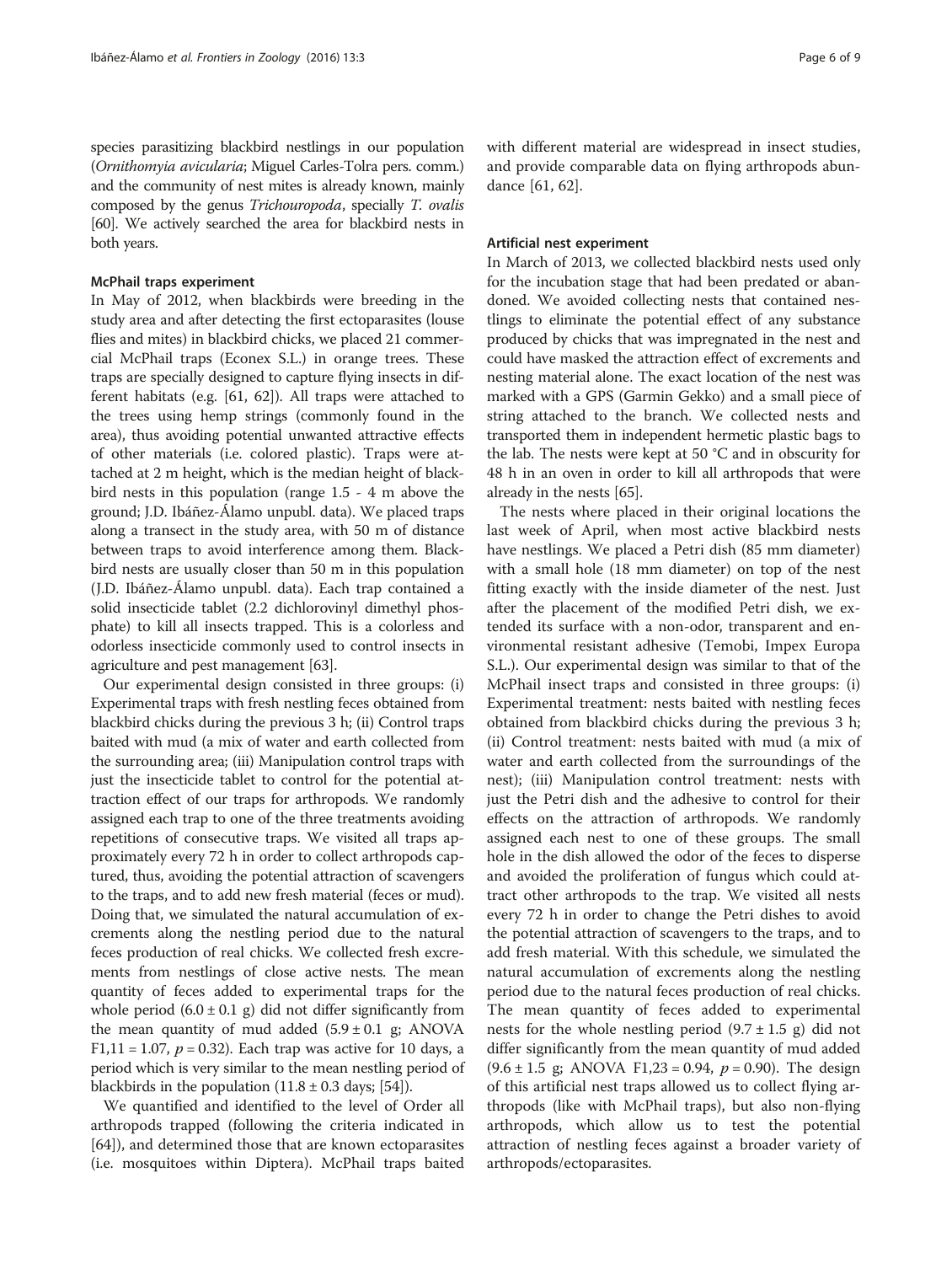species parasitizing blackbird nestlings in our population (Ornithomyia avicularia; Miguel Carles-Tolra pers. comm.) and the community of nest mites is already known, mainly composed by the genus Trichouropoda, specially T. ovalis [[60](#page--1-0)]. We actively searched the area for blackbird nests in both years.

#### McPhail traps experiment

In May of 2012, when blackbirds were breeding in the study area and after detecting the first ectoparasites (louse flies and mites) in blackbird chicks, we placed 21 commercial McPhail traps (Econex S.L.) in orange trees. These traps are specially designed to capture flying insects in different habitats (e.g. [\[61, 62\]](#page--1-0)). All traps were attached to the trees using hemp strings (commonly found in the area), thus avoiding potential unwanted attractive effects of other materials (i.e. colored plastic). Traps were attached at 2 m height, which is the median height of blackbird nests in this population (range 1.5 - 4 m above the ground; J.D. Ibáñez-Álamo unpubl. data). We placed traps along a transect in the study area, with 50 m of distance between traps to avoid interference among them. Blackbird nests are usually closer than 50 m in this population (J.D. Ibáñez-Álamo unpubl. data). Each trap contained a solid insecticide tablet (2.2 dichlorovinyl dimethyl phosphate) to kill all insects trapped. This is a colorless and odorless insecticide commonly used to control insects in agriculture and pest management [\[63\]](#page--1-0).

Our experimental design consisted in three groups: (i) Experimental traps with fresh nestling feces obtained from blackbird chicks during the previous 3 h; (ii) Control traps baited with mud (a mix of water and earth collected from the surrounding area; (iii) Manipulation control traps with just the insecticide tablet to control for the potential attraction effect of our traps for arthropods. We randomly assigned each trap to one of the three treatments avoiding repetitions of consecutive traps. We visited all traps approximately every 72 h in order to collect arthropods captured, thus, avoiding the potential attraction of scavengers to the traps, and to add new fresh material (feces or mud). Doing that, we simulated the natural accumulation of excrements along the nestling period due to the natural feces production of real chicks. We collected fresh excrements from nestlings of close active nests. The mean quantity of feces added to experimental traps for the whole period  $(6.0 \pm 0.1 \text{ g})$  did not differ significantly from the mean quantity of mud added  $(5.9 \pm 0.1 \text{ g};$  ANOVA F1,11 = 1.07,  $p = 0.32$ ). Each trap was active for 10 days, a period which is very similar to the mean nestling period of blackbirds in the population  $(11.8 \pm 0.3$  days; [\[54\]](#page--1-0)).

We quantified and identified to the level of Order all arthropods trapped (following the criteria indicated in [[64\]](#page--1-0)), and determined those that are known ectoparasites (i.e. mosquitoes within Diptera). McPhail traps baited with different material are widespread in insect studies, and provide comparable data on flying arthropods abundance [[61](#page--1-0), [62](#page--1-0)].

#### Artificial nest experiment

In March of 2013, we collected blackbird nests used only for the incubation stage that had been predated or abandoned. We avoided collecting nests that contained nestlings to eliminate the potential effect of any substance produced by chicks that was impregnated in the nest and could have masked the attraction effect of excrements and nesting material alone. The exact location of the nest was marked with a GPS (Garmin Gekko) and a small piece of string attached to the branch. We collected nests and transported them in independent hermetic plastic bags to the lab. The nests were kept at 50 °C and in obscurity for 48 h in an oven in order to kill all arthropods that were already in the nests [\[65](#page--1-0)].

The nests where placed in their original locations the last week of April, when most active blackbird nests have nestlings. We placed a Petri dish (85 mm diameter) with a small hole (18 mm diameter) on top of the nest fitting exactly with the inside diameter of the nest. Just after the placement of the modified Petri dish, we extended its surface with a non-odor, transparent and environmental resistant adhesive (Temobi, Impex Europa S.L.). Our experimental design was similar to that of the McPhail insect traps and consisted in three groups: (i) Experimental treatment: nests baited with nestling feces obtained from blackbird chicks during the previous 3 h; (ii) Control treatment: nests baited with mud (a mix of water and earth collected from the surroundings of the nest); (iii) Manipulation control treatment: nests with just the Petri dish and the adhesive to control for their effects on the attraction of arthropods. We randomly assigned each nest to one of these groups. The small hole in the dish allowed the odor of the feces to disperse and avoided the proliferation of fungus which could attract other arthropods to the trap. We visited all nests every 72 h in order to change the Petri dishes to avoid the potential attraction of scavengers to the traps, and to add fresh material. With this schedule, we simulated the natural accumulation of excrements along the nestling period due to the natural feces production of real chicks. The mean quantity of feces added to experimental nests for the whole nestling period  $(9.7 \pm 1.5 \text{ g})$  did not differ significantly from the mean quantity of mud added  $(9.6 \pm 1.5 \text{ g};$  ANOVA F1,23 = 0.94,  $p = 0.90$ ). The design of this artificial nest traps allowed us to collect flying arthropods (like with McPhail traps), but also non-flying arthropods, which allow us to test the potential attraction of nestling feces against a broader variety of arthropods/ectoparasites.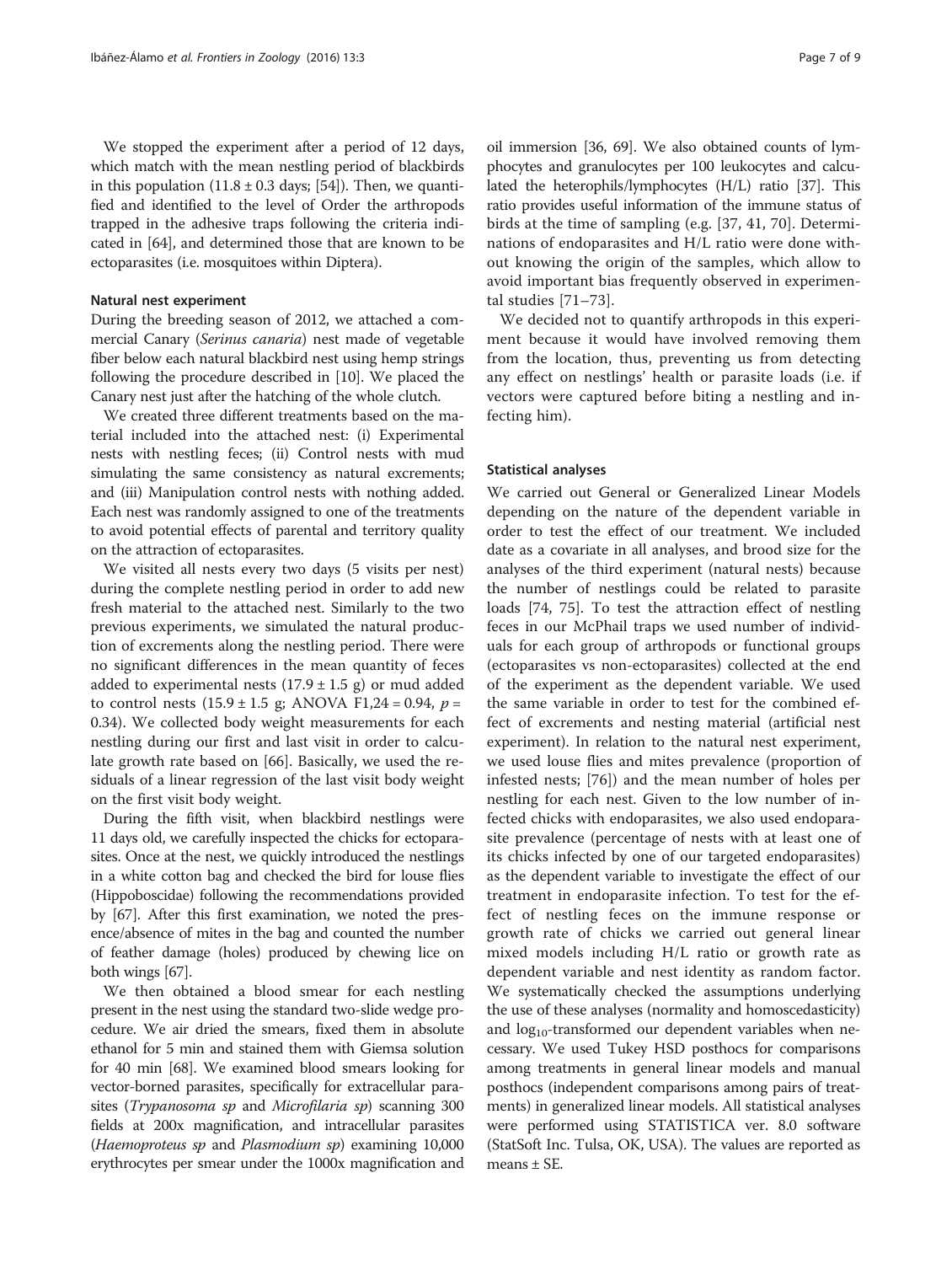We stopped the experiment after a period of 12 days, which match with the mean nestling period of blackbirds in this population  $(11.8 \pm 0.3 \text{ days}; [54])$  $(11.8 \pm 0.3 \text{ days}; [54])$  $(11.8 \pm 0.3 \text{ days}; [54])$ . Then, we quantified and identified to the level of Order the arthropods trapped in the adhesive traps following the criteria indicated in [\[64\]](#page--1-0), and determined those that are known to be ectoparasites (i.e. mosquitoes within Diptera).

#### Natural nest experiment

During the breeding season of 2012, we attached a commercial Canary (Serinus canaria) nest made of vegetable fiber below each natural blackbird nest using hemp strings following the procedure described in [[10\]](#page-7-0). We placed the Canary nest just after the hatching of the whole clutch.

We created three different treatments based on the material included into the attached nest: (i) Experimental nests with nestling feces; (ii) Control nests with mud simulating the same consistency as natural excrements; and (iii) Manipulation control nests with nothing added. Each nest was randomly assigned to one of the treatments to avoid potential effects of parental and territory quality on the attraction of ectoparasites.

We visited all nests every two days (5 visits per nest) during the complete nestling period in order to add new fresh material to the attached nest. Similarly to the two previous experiments, we simulated the natural production of excrements along the nestling period. There were no significant differences in the mean quantity of feces added to experimental nests  $(17.9 \pm 1.5 \text{ g})$  or mud added to control nests  $(15.9 \pm 1.5 \text{ g}$ ; ANOVA F1,24 = 0.94, p = 0.34). We collected body weight measurements for each nestling during our first and last visit in order to calculate growth rate based on [\[66\]](#page--1-0). Basically, we used the residuals of a linear regression of the last visit body weight on the first visit body weight.

During the fifth visit, when blackbird nestlings were 11 days old, we carefully inspected the chicks for ectoparasites. Once at the nest, we quickly introduced the nestlings in a white cotton bag and checked the bird for louse flies (Hippoboscidae) following the recommendations provided by [\[67\]](#page--1-0). After this first examination, we noted the presence/absence of mites in the bag and counted the number of feather damage (holes) produced by chewing lice on both wings [[67](#page--1-0)].

We then obtained a blood smear for each nestling present in the nest using the standard two-slide wedge procedure. We air dried the smears, fixed them in absolute ethanol for 5 min and stained them with Giemsa solution for 40 min [[68](#page--1-0)]. We examined blood smears looking for vector-borned parasites, specifically for extracellular parasites (Trypanosoma sp and Microfilaria sp) scanning 300 fields at 200x magnification, and intracellular parasites (Haemoproteus sp and Plasmodium sp) examining 10,000 erythrocytes per smear under the 1000x magnification and

oil immersion [\[36,](#page-7-0) [69](#page--1-0)]. We also obtained counts of lymphocytes and granulocytes per 100 leukocytes and calculated the heterophils/lymphocytes (H/L) ratio [\[37\]](#page-7-0). This ratio provides useful information of the immune status of birds at the time of sampling (e.g. [[37, 41](#page-7-0), [70](#page--1-0)]. Determinations of endoparasites and H/L ratio were done without knowing the origin of the samples, which allow to avoid important bias frequently observed in experimental studies [[71](#page--1-0)–[73](#page--1-0)].

We decided not to quantify arthropods in this experiment because it would have involved removing them from the location, thus, preventing us from detecting any effect on nestlings' health or parasite loads (i.e. if vectors were captured before biting a nestling and infecting him).

#### Statistical analyses

We carried out General or Generalized Linear Models depending on the nature of the dependent variable in order to test the effect of our treatment. We included date as a covariate in all analyses, and brood size for the analyses of the third experiment (natural nests) because the number of nestlings could be related to parasite loads [[74](#page--1-0), [75](#page--1-0)]. To test the attraction effect of nestling feces in our McPhail traps we used number of individuals for each group of arthropods or functional groups (ectoparasites vs non-ectoparasites) collected at the end of the experiment as the dependent variable. We used the same variable in order to test for the combined effect of excrements and nesting material (artificial nest experiment). In relation to the natural nest experiment, we used louse flies and mites prevalence (proportion of infested nests; [\[76](#page--1-0)]) and the mean number of holes per nestling for each nest. Given to the low number of infected chicks with endoparasites, we also used endoparasite prevalence (percentage of nests with at least one of its chicks infected by one of our targeted endoparasites) as the dependent variable to investigate the effect of our treatment in endoparasite infection. To test for the effect of nestling feces on the immune response or growth rate of chicks we carried out general linear mixed models including H/L ratio or growth rate as dependent variable and nest identity as random factor. We systematically checked the assumptions underlying the use of these analyses (normality and homoscedasticity) and  $log_{10}$ -transformed our dependent variables when necessary. We used Tukey HSD posthocs for comparisons among treatments in general linear models and manual posthocs (independent comparisons among pairs of treatments) in generalized linear models. All statistical analyses were performed using STATISTICA ver. 8.0 software (StatSoft Inc. Tulsa, OK, USA). The values are reported as means  $\pm$  SE.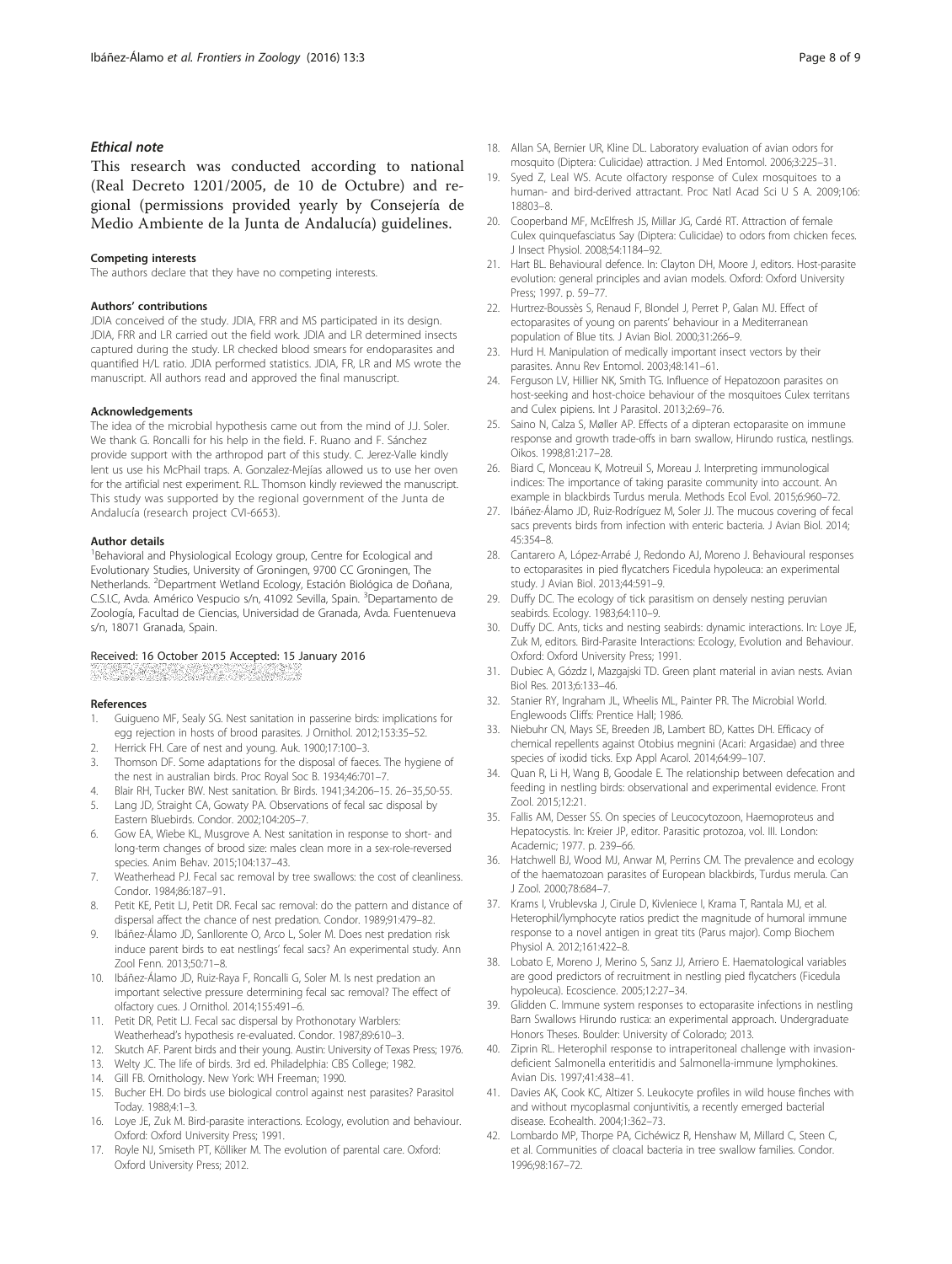### <span id="page-7-0"></span>Ethical note

This research was conducted according to national (Real Decreto 1201/2005, de 10 de Octubre) and regional (permissions provided yearly by Consejería de Medio Ambiente de la Junta de Andalucía) guidelines.

#### Competing interests

The authors declare that they have no competing interests.

#### Authors' contributions

JDIA conceived of the study. JDIA, FRR and MS participated in its design. JDIA, FRR and LR carried out the field work. JDIA and LR determined insects captured during the study. LR checked blood smears for endoparasites and quantified H/L ratio. JDIA performed statistics. JDIA, FR, LR and MS wrote the manuscript. All authors read and approved the final manuscript.

#### Acknowledgements

The idea of the microbial hypothesis came out from the mind of J.J. Soler. We thank G. Roncalli for his help in the field. F. Ruano and F. Sánchez provide support with the arthropod part of this study. C. Jerez-Valle kindly lent us use his McPhail traps. A. Gonzalez-Mejías allowed us to use her oven for the artificial nest experiment. R.L. Thomson kindly reviewed the manuscript. This study was supported by the regional government of the Junta de Andalucía (research project CVI-6653).

#### Author details

<sup>1</sup> Behavioral and Physiological Ecology group, Centre for Ecological and Evolutionary Studies, University of Groningen, 9700 CC Groningen, The Netherlands. <sup>2</sup>Department Wetland Ecology, Estación Biológica de Doñana, C.S.I.C, Avda. Américo Vespucio s/n, 41092 Sevilla, Spain. <sup>3</sup>Departamento de Zoología, Facultad de Ciencias, Universidad de Granada, Avda. Fuentenueva s/n, 18071 Granada, Spain.

#### Received: 16 October 2015 Accepted: 15 January 2016

#### References

- 1. Guigueno MF, Sealy SG. Nest sanitation in passerine birds: implications for egg rejection in hosts of brood parasites. J Ornithol. 2012;153:35–52.
- 2. Herrick FH. Care of nest and young. Auk. 1900;17:100–3.
- 3. Thomson DF. Some adaptations for the disposal of faeces. The hygiene of the nest in australian birds. Proc Royal Soc B. 1934;46:701–7.
- 4. Blair RH, Tucker BW. Nest sanitation. Br Birds. 1941;34:206–15. 26–35,50-55.
- 5. Lang JD, Straight CA, Gowaty PA. Observations of fecal sac disposal by Eastern Bluebirds. Condor. 2002;104:205–7.
- Gow EA, Wiebe KL, Musgrove A. Nest sanitation in response to short- and long-term changes of brood size: males clean more in a sex-role-reversed species. Anim Behav. 2015;104:137–43.
- 7. Weatherhead PJ. Fecal sac removal by tree swallows: the cost of cleanliness. Condor. 1984;86:187–91.
- Petit KE, Petit LJ, Petit DR. Fecal sac removal: do the pattern and distance of dispersal affect the chance of nest predation. Condor. 1989;91:479–82.
- 9. Ibáñez-Álamo JD, Sanllorente O, Arco L, Soler M. Does nest predation risk induce parent birds to eat nestlings' fecal sacs? An experimental study. Ann Zool Fenn. 2013;50:71–8.
- 10. Ibáñez-Álamo JD, Ruiz-Raya F, Roncalli G, Soler M. Is nest predation an important selective pressure determining fecal sac removal? The effect of olfactory cues. J Ornithol. 2014;155:491–6.
- 11. Petit DR, Petit LJ. Fecal sac dispersal by Prothonotary Warblers: Weatherhead's hypothesis re-evaluated. Condor. 1987;89:610–3.
- 12. Skutch AF. Parent birds and their young. Austin: University of Texas Press; 1976.
- 13. Welty JC. The life of birds. 3rd ed. Philadelphia: CBS College; 1982.
- 14. Gill FB. Ornithology. New York: WH Freeman; 1990.
- 15. Bucher EH. Do birds use biological control against nest parasites? Parasitol Today. 1988;4:1–3.
- 16. Loye JE, Zuk M. Bird-parasite interactions. Ecology, evolution and behaviour. Oxford: Oxford University Press; 1991.
- 17. Royle NJ, Smiseth PT, Kölliker M. The evolution of parental care. Oxford: Oxford University Press; 2012.
- 18. Allan SA, Bernier UR, Kline DL. Laboratory evaluation of avian odors for mosquito (Diptera: Culicidae) attraction. J Med Entomol. 2006;3:225–31.
- 19. Syed Z, Leal WS. Acute olfactory response of Culex mosquitoes to a human- and bird-derived attractant. Proc Natl Acad Sci U S A. 2009;106: 18803–8.
- 20. Cooperband MF, McElfresh JS, Millar JG, Cardé RT. Attraction of female Culex quinquefasciatus Say (Diptera: Culicidae) to odors from chicken feces. J Insect Physiol. 2008;54:1184–92.
- 21. Hart BL. Behavioural defence. In: Clayton DH, Moore J, editors. Host-parasite evolution: general principles and avian models. Oxford: Oxford University Press; 1997. p. 59–77.
- 22. Hurtrez-Boussès S, Renaud F, Blondel J, Perret P, Galan MJ. Effect of ectoparasites of young on parents' behaviour in a Mediterranean population of Blue tits. J Avian Biol. 2000;31:266–9.
- 23. Hurd H. Manipulation of medically important insect vectors by their parasites. Annu Rev Entomol. 2003;48:141–61.
- 24. Ferguson LV, Hillier NK, Smith TG. Influence of Hepatozoon parasites on host-seeking and host-choice behaviour of the mosquitoes Culex territans and Culex pipiens. Int J Parasitol. 2013;2:69–76.
- 25. Saino N, Calza S, Møller AP. Effects of a dipteran ectoparasite on immune response and growth trade-offs in barn swallow, Hirundo rustica, nestlings. Oikos. 1998;81:217–28.
- 26. Biard C, Monceau K, Motreuil S, Moreau J. Interpreting immunological indices: The importance of taking parasite community into account. An example in blackbirds Turdus merula. Methods Ecol Evol. 2015;6:960–72.
- 27. Ibáñez-Álamo JD, Ruiz-Rodríguez M, Soler JJ. The mucous covering of fecal sacs prevents birds from infection with enteric bacteria. J Avian Biol. 2014; 45:354–8.
- 28. Cantarero A, López-Arrabé J, Redondo AJ, Moreno J. Behavioural responses to ectoparasites in pied flycatchers Ficedula hypoleuca: an experimental study. J Avian Biol. 2013;44:591–9.
- 29. Duffy DC. The ecology of tick parasitism on densely nesting peruvian seabirds. Ecology. 1983;64:110–9.
- 30. Duffy DC. Ants, ticks and nesting seabirds: dynamic interactions. In: Loye JE, Zuk M, editors. Bird-Parasite Interactions: Ecology, Evolution and Behaviour. Oxford: Oxford University Press; 1991.
- 31. Dubiec A, Gózdz I, Mazgajski TD. Green plant material in avian nests. Avian Biol Res. 2013;6:133–46.
- 32. Stanier RY, Ingraham JL, Wheelis ML, Painter PR. The Microbial World. Englewoods Cliffs: Prentice Hall; 1986.
- 33. Niebuhr CN, Mays SE, Breeden JB, Lambert BD, Kattes DH. Efficacy of chemical repellents against Otobius megnini (Acari: Argasidae) and three species of ixodid ticks. Exp Appl Acarol. 2014;64:99–107.
- 34. Quan R, Li H, Wang B, Goodale E. The relationship between defecation and feeding in nestling birds: observational and experimental evidence. Front Zool. 2015;12:21.
- 35. Fallis AM, Desser SS. On species of Leucocytozoon, Haemoproteus and Hepatocystis. In: Kreier JP, editor. Parasitic protozoa, vol. III. London: Academic; 1977. p. 239–66.
- 36. Hatchwell BJ, Wood MJ, Anwar M, Perrins CM. The prevalence and ecology of the haematozoan parasites of European blackbirds, Turdus merula. Can J Zool. 2000;78:684–7.
- 37. Krams I, Vrublevska J, Cirule D, Kivleniece I, Krama T, Rantala MJ, et al. Heterophil/lymphocyte ratios predict the magnitude of humoral immune response to a novel antigen in great tits (Parus major). Comp Biochem Physiol A. 2012;161:422–8.
- 38. Lobato E, Moreno J, Merino S, Sanz JJ, Arriero E. Haematological variables are good predictors of recruitment in nestling pied flycatchers (Ficedula hypoleuca). Ecoscience. 2005;12:27–34.
- 39. Glidden C. Immune system responses to ectoparasite infections in nestling Barn Swallows Hirundo rustica: an experimental approach. Undergraduate Honors Theses. Boulder: University of Colorado; 2013.
- 40. Ziprin RL. Heterophil response to intraperitoneal challenge with invasiondeficient Salmonella enteritidis and Salmonella-immune lymphokines. Avian Dis. 1997;41:438–41.
- 41. Davies AK, Cook KC, Altizer S. Leukocyte profiles in wild house finches with and without mycoplasmal conjuntivitis, a recently emerged bacterial disease. Ecohealth. 2004;1:362–73.
- 42. Lombardo MP, Thorpe PA, Cichéwicz R, Henshaw M, Millard C, Steen C, et al. Communities of cloacal bacteria in tree swallow families. Condor. 1996;98:167–72.